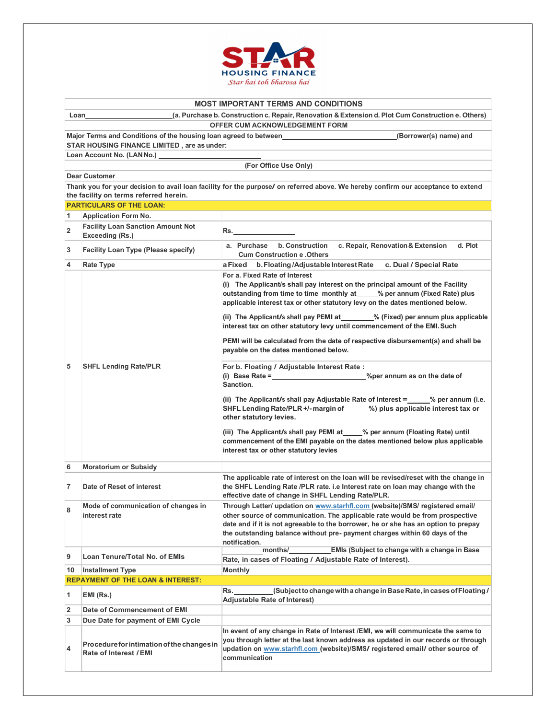

| (a. Purchase b. Construction c. Repair, Renovation & Extension d. Plot Cum Construction e. Others)<br>(Borrower(s) name) and<br>Thank you for your decision to avail loan facility for the purpose/ on referred above. We hereby confirm our acceptance to extend<br>a. Purchase b. Construction c. Repair, Renovation & Extension d. Plot<br>c. Dual / Special Rate                                                                                                                                                                                                                                                                                                                                                                                                                                                                                                    |
|-------------------------------------------------------------------------------------------------------------------------------------------------------------------------------------------------------------------------------------------------------------------------------------------------------------------------------------------------------------------------------------------------------------------------------------------------------------------------------------------------------------------------------------------------------------------------------------------------------------------------------------------------------------------------------------------------------------------------------------------------------------------------------------------------------------------------------------------------------------------------|
|                                                                                                                                                                                                                                                                                                                                                                                                                                                                                                                                                                                                                                                                                                                                                                                                                                                                         |
|                                                                                                                                                                                                                                                                                                                                                                                                                                                                                                                                                                                                                                                                                                                                                                                                                                                                         |
|                                                                                                                                                                                                                                                                                                                                                                                                                                                                                                                                                                                                                                                                                                                                                                                                                                                                         |
|                                                                                                                                                                                                                                                                                                                                                                                                                                                                                                                                                                                                                                                                                                                                                                                                                                                                         |
|                                                                                                                                                                                                                                                                                                                                                                                                                                                                                                                                                                                                                                                                                                                                                                                                                                                                         |
|                                                                                                                                                                                                                                                                                                                                                                                                                                                                                                                                                                                                                                                                                                                                                                                                                                                                         |
|                                                                                                                                                                                                                                                                                                                                                                                                                                                                                                                                                                                                                                                                                                                                                                                                                                                                         |
|                                                                                                                                                                                                                                                                                                                                                                                                                                                                                                                                                                                                                                                                                                                                                                                                                                                                         |
|                                                                                                                                                                                                                                                                                                                                                                                                                                                                                                                                                                                                                                                                                                                                                                                                                                                                         |
|                                                                                                                                                                                                                                                                                                                                                                                                                                                                                                                                                                                                                                                                                                                                                                                                                                                                         |
|                                                                                                                                                                                                                                                                                                                                                                                                                                                                                                                                                                                                                                                                                                                                                                                                                                                                         |
|                                                                                                                                                                                                                                                                                                                                                                                                                                                                                                                                                                                                                                                                                                                                                                                                                                                                         |
| (i) The Applicant/s shall pay interest on the principal amount of the Facility<br>outstanding from time to time monthly at ____% per annum (Fixed Rate) plus<br>applicable interest tax or other statutory levy on the dates mentioned below.<br>(ii) The Applicant/s shall pay PEMI at ________% (Fixed) per annum plus applicable<br>interest tax on other statutory levy until commencement of the EMI. Such<br>PEMI will be calculated from the date of respective disbursement(s) and shall be<br>%per annum as on the date of<br>(ii) The Applicant/s shall pay Adjustable Rate of Interest $=$ % per annum (i.e.<br>SHFL Lending Rate/PLR +/- margin of _____%) plus applicable interest tax or<br>(iii) The Applicant/s shall pay PEMI at ____% per annum (Floating Rate) until<br>commencement of the EMI payable on the dates mentioned below plus applicable |
|                                                                                                                                                                                                                                                                                                                                                                                                                                                                                                                                                                                                                                                                                                                                                                                                                                                                         |
|                                                                                                                                                                                                                                                                                                                                                                                                                                                                                                                                                                                                                                                                                                                                                                                                                                                                         |
| The applicable rate of interest on the loan will be revised/reset with the change in<br>the SHFL Lending Rate /PLR rate. i.e Interest rate on loan may change with the                                                                                                                                                                                                                                                                                                                                                                                                                                                                                                                                                                                                                                                                                                  |
| Through Letter/ updation on www.starhfl.com (website)/SMS/ registered email/<br>other source of communication. The applicable rate would be from prospective<br>date and if it is not agreeable to the borrower, he or she has an option to prepay<br>the outstanding balance without pre- payment charges within 60 days of the                                                                                                                                                                                                                                                                                                                                                                                                                                                                                                                                        |
| <b>EMIs (Subject to change with a change in Base</b>                                                                                                                                                                                                                                                                                                                                                                                                                                                                                                                                                                                                                                                                                                                                                                                                                    |
|                                                                                                                                                                                                                                                                                                                                                                                                                                                                                                                                                                                                                                                                                                                                                                                                                                                                         |
|                                                                                                                                                                                                                                                                                                                                                                                                                                                                                                                                                                                                                                                                                                                                                                                                                                                                         |
| (Subject to change with a change in Base Rate, in cases of Floating /                                                                                                                                                                                                                                                                                                                                                                                                                                                                                                                                                                                                                                                                                                                                                                                                   |
|                                                                                                                                                                                                                                                                                                                                                                                                                                                                                                                                                                                                                                                                                                                                                                                                                                                                         |
|                                                                                                                                                                                                                                                                                                                                                                                                                                                                                                                                                                                                                                                                                                                                                                                                                                                                         |
| In event of any change in Rate of Interest /EMI, we will communicate the same to<br>you through letter at the last known address as updated in our records or through<br>updation on www.starhfl.com (website)/SMS/ registered email/ other source of                                                                                                                                                                                                                                                                                                                                                                                                                                                                                                                                                                                                                   |
|                                                                                                                                                                                                                                                                                                                                                                                                                                                                                                                                                                                                                                                                                                                                                                                                                                                                         |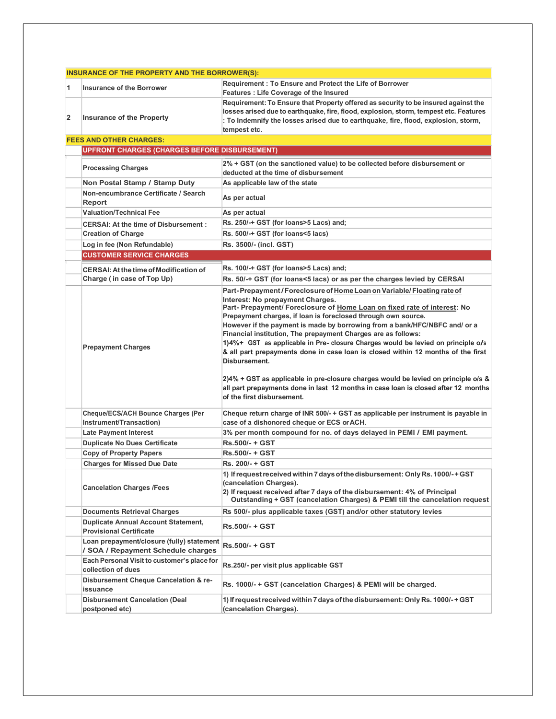| <b>INSURANCE OF THE PROPERTY AND THE BORROWER(S):</b>                           |                                                                                                                                                                                                                                                                                                                                                                                                                                                                                                                                                                                                                                                                                                                                   |
|---------------------------------------------------------------------------------|-----------------------------------------------------------------------------------------------------------------------------------------------------------------------------------------------------------------------------------------------------------------------------------------------------------------------------------------------------------------------------------------------------------------------------------------------------------------------------------------------------------------------------------------------------------------------------------------------------------------------------------------------------------------------------------------------------------------------------------|
| <b>Insurance of the Borrower</b>                                                | Requirement: To Ensure and Protect the Life of Borrower<br>Features : Life Coverage of the Insured                                                                                                                                                                                                                                                                                                                                                                                                                                                                                                                                                                                                                                |
| $\overline{2}$<br><b>Insurance of the Property</b>                              | Requirement: To Ensure that Property offered as security to be insured against the<br>losses arised due to earthquake, fire, flood, explosion, storm, tempest etc. Features<br>To Indemnify the losses arised due to earthquake, fire, flood, explosion, storm,<br>tempest etc.                                                                                                                                                                                                                                                                                                                                                                                                                                                   |
| <b>FEES AND OTHER CHARGES:</b>                                                  |                                                                                                                                                                                                                                                                                                                                                                                                                                                                                                                                                                                                                                                                                                                                   |
| UPFRONT CHARGES (CHARGES BEFORE DISBURSEMENT)                                   |                                                                                                                                                                                                                                                                                                                                                                                                                                                                                                                                                                                                                                                                                                                                   |
| <b>Processing Charges</b>                                                       | 2% + GST (on the sanctioned value) to be collected before disbursement or<br>deducted at the time of disbursement                                                                                                                                                                                                                                                                                                                                                                                                                                                                                                                                                                                                                 |
| Non Postal Stamp / Stamp Duty                                                   | As applicable law of the state                                                                                                                                                                                                                                                                                                                                                                                                                                                                                                                                                                                                                                                                                                    |
| Non-encumbrance Certificate / Search<br>Report                                  | As per actual                                                                                                                                                                                                                                                                                                                                                                                                                                                                                                                                                                                                                                                                                                                     |
| <b>Valuation/Technical Fee</b>                                                  | As per actual                                                                                                                                                                                                                                                                                                                                                                                                                                                                                                                                                                                                                                                                                                                     |
| <b>CERSAI: At the time of Disbursement:</b>                                     | Rs. 250/-+ GST (for loans>5 Lacs) and;                                                                                                                                                                                                                                                                                                                                                                                                                                                                                                                                                                                                                                                                                            |
| <b>Creation of Charge</b>                                                       | Rs. 500/-+ GST (for loans<5 lacs)                                                                                                                                                                                                                                                                                                                                                                                                                                                                                                                                                                                                                                                                                                 |
| Log in fee (Non Refundable)                                                     | Rs. 3500/- (incl. GST)                                                                                                                                                                                                                                                                                                                                                                                                                                                                                                                                                                                                                                                                                                            |
| <b>CUSTOMER SERVICE CHARGES</b>                                                 |                                                                                                                                                                                                                                                                                                                                                                                                                                                                                                                                                                                                                                                                                                                                   |
| CERSAI: At the time of Modification of                                          | Rs. 100/-+ GST (for loans>5 Lacs) and;                                                                                                                                                                                                                                                                                                                                                                                                                                                                                                                                                                                                                                                                                            |
| Charge (in case of Top Up)                                                      | Rs. 50/-+ GST (for loans<5 lacs) or as per the charges levied by CERSAI                                                                                                                                                                                                                                                                                                                                                                                                                                                                                                                                                                                                                                                           |
|                                                                                 | Part-Prepayment/Foreclosure of Home Loan on Variable/Floating rate of                                                                                                                                                                                                                                                                                                                                                                                                                                                                                                                                                                                                                                                             |
| <b>Prepayment Charges</b>                                                       | Interest: No prepayment Charges.<br>Part- Prepayment/ Foreclosure of Home Loan on fixed rate of interest: No<br>Prepayment charges, if loan is foreclosed through own source.<br>However if the payment is made by borrowing from a bank/HFC/NBFC and/ or a<br>Financial institution, The prepayment Charges are as follows:<br>1)4%+ GST as applicable in Pre- closure Charges would be levied on principle o/s<br>& all part prepayments done in case loan is closed within 12 months of the first<br>Disbursement.<br>$24\%$ + GST as applicable in pre-closure charges would be levied on principle o/s &<br>all part prepayments done in last 12 months in case loan is closed after 12 months<br>of the first disbursement. |
| Cheque/ECS/ACH Bounce Charges (Per<br>Instrument/Transaction)                   | Cheque return charge of INR 500/- + GST as applicable per instrument is payable in<br>case of a dishonored cheque or ECS or ACH.                                                                                                                                                                                                                                                                                                                                                                                                                                                                                                                                                                                                  |
| <b>Late Payment Interest</b>                                                    | 3% per month compound for no. of days delayed in PEMI / EMI payment.                                                                                                                                                                                                                                                                                                                                                                                                                                                                                                                                                                                                                                                              |
| <b>Duplicate No Dues Certificate</b>                                            | Rs.500/- + GST                                                                                                                                                                                                                                                                                                                                                                                                                                                                                                                                                                                                                                                                                                                    |
| <b>Copy of Property Papers</b>                                                  | Rs.500/- + GST                                                                                                                                                                                                                                                                                                                                                                                                                                                                                                                                                                                                                                                                                                                    |
| <b>Charges for Missed Due Date</b>                                              | Rs. 200/- + GST                                                                                                                                                                                                                                                                                                                                                                                                                                                                                                                                                                                                                                                                                                                   |
| <b>Cancelation Charges /Fees</b>                                                | 1) If request received within 7 days of the disbursement: Only Rs. 1000/-+GST<br>(cancelation Charges).<br>2) If request received after 7 days of the disbursement: 4% of Principal<br>Outstanding + GST (cancelation Charges) & PEMI till the cancelation request                                                                                                                                                                                                                                                                                                                                                                                                                                                                |
| <b>Documents Retrieval Charges</b>                                              | Rs 500/- plus applicable taxes (GST) and/or other statutory levies                                                                                                                                                                                                                                                                                                                                                                                                                                                                                                                                                                                                                                                                |
| <b>Duplicate Annual Account Statement,</b><br><b>Provisional Certificate</b>    | Rs.500/- + GST                                                                                                                                                                                                                                                                                                                                                                                                                                                                                                                                                                                                                                                                                                                    |
| Loan prepayment/closure (fully) statement<br>/ SOA / Repayment Schedule charges | Rs.500/- + GST                                                                                                                                                                                                                                                                                                                                                                                                                                                                                                                                                                                                                                                                                                                    |
| Each Personal Visit to customer's place for<br>collection of dues               | Rs.250/- per visit plus applicable GST                                                                                                                                                                                                                                                                                                                                                                                                                                                                                                                                                                                                                                                                                            |
| Disbursement Cheque Cancelation & re-<br>issuance                               | Rs. 1000/- + GST (cancelation Charges) & PEMI will be charged.                                                                                                                                                                                                                                                                                                                                                                                                                                                                                                                                                                                                                                                                    |
| <b>Disbursement Cancelation (Deal</b><br>postponed etc)                         | 1) If request received within 7 days of the disbursement: Only Rs. 1000/-+GST<br>(cancelation Charges).                                                                                                                                                                                                                                                                                                                                                                                                                                                                                                                                                                                                                           |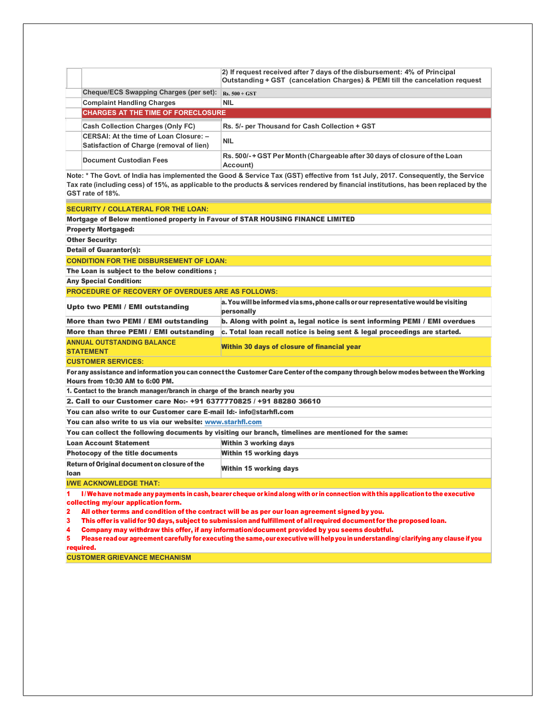|                                                                                    | 2) If request received after 7 days of the disbursement: 4% of Principal<br>Outstanding + GST (cancelation Charges) & PEMI till the cancelation request |
|------------------------------------------------------------------------------------|---------------------------------------------------------------------------------------------------------------------------------------------------------|
| Cheque/ECS Swapping Charges (per set):                                             | $Rs. 500 + GST$                                                                                                                                         |
| <b>Complaint Handling Charges</b>                                                  | <b>NIL</b>                                                                                                                                              |
| <b>CHARGES AT THE TIME OF FORECLOSURE</b>                                          |                                                                                                                                                         |
| <b>Cash Collection Charges (Only FC)</b>                                           | Rs. 5/- per Thousand for Cash Collection + GST                                                                                                          |
| CERSAI: At the time of Loan Closure: -<br>Satisfaction of Charge (removal of lien) | <b>NIL</b>                                                                                                                                              |
| Document Custodian Fees                                                            | Rs. 500/-+GST Per Month (Chargeable after 30 days of closure of the Loan<br>Account)                                                                    |

|                |                                                                                | $\epsilon$ ) ii request received arter $\iota$ uays or the uisbursement. $\rightarrow$ /0 or Frincipal<br>Outstanding + GST (cancelation Charges) & PEMI till the cancelation request                                                                                       |
|----------------|--------------------------------------------------------------------------------|-----------------------------------------------------------------------------------------------------------------------------------------------------------------------------------------------------------------------------------------------------------------------------|
|                | Cheque/ECS Swapping Charges (per set):                                         | $Rs. 500 + GST$                                                                                                                                                                                                                                                             |
|                | <b>Complaint Handling Charges</b>                                              | NIL                                                                                                                                                                                                                                                                         |
|                | <b>CHARGES AT THE TIME OF FORECLOSURE</b>                                      |                                                                                                                                                                                                                                                                             |
|                | <b>Cash Collection Charges (Only FC)</b>                                       | Rs. 5/- per Thousand for Cash Collection + GST                                                                                                                                                                                                                              |
|                | CERSAI: At the time of Loan Closure: -                                         |                                                                                                                                                                                                                                                                             |
|                | Satisfaction of Charge (removal of lien)                                       | <b>NIL</b>                                                                                                                                                                                                                                                                  |
|                | <b>Document Custodian Fees</b>                                                 | Rs. 500/-+GST Per Month (Chargeable after 30 days of closure of the Loan<br>Account)                                                                                                                                                                                        |
|                | GST rate of 18%.                                                               | Note: * The Govt. of India has implemented the Good & Service Tax (GST) effective from 1st July, 2017. Consequently, the Service<br>Tax rate (including cess) of 15%, as applicable to the products & services rendered by financial institutions, has been replaced by the |
|                | <b>SECURITY / COLLATERAL FOR THE LOAN:</b>                                     |                                                                                                                                                                                                                                                                             |
|                | Mortgage of Below mentioned property in Favour of STAR HOUSING FINANCE LIMITED |                                                                                                                                                                                                                                                                             |
|                | <b>Property Mortgaged:</b>                                                     |                                                                                                                                                                                                                                                                             |
|                | <b>Other Security:</b>                                                         |                                                                                                                                                                                                                                                                             |
|                | <b>Detail of Guarantor(s):</b>                                                 |                                                                                                                                                                                                                                                                             |
|                | <b>CONDITION FOR THE DISBURSEMENT OF LOAN:</b>                                 |                                                                                                                                                                                                                                                                             |
|                | The Loan is subject to the below conditions;                                   |                                                                                                                                                                                                                                                                             |
|                | <b>Any Special Condition:</b>                                                  |                                                                                                                                                                                                                                                                             |
|                | <b>PROCEDURE OF RECOVERY OF OVERDUES ARE AS FOLLOWS:</b>                       |                                                                                                                                                                                                                                                                             |
|                | <b>Upto two PEMI / EMI outstanding</b>                                         | a. You will be informed via sms, phone calls or our representative would be visiting<br>personally                                                                                                                                                                          |
|                | More than two PEMI / EMI outstanding                                           | b. Along with point a, legal notice is sent informing PEMI / EMI overdues                                                                                                                                                                                                   |
|                | More than three PEMI / EMI outstanding                                         | c. Total loan recall notice is being sent & legal proceedings are started.                                                                                                                                                                                                  |
|                | <b>ANNUAL OUTSTANDING BALANCE</b><br><b>STATEMENT</b>                          | <b>Within 30 days of closure of financial year</b>                                                                                                                                                                                                                          |
|                | <b>CUSTOMER SERVICES:</b>                                                      |                                                                                                                                                                                                                                                                             |
|                |                                                                                | For any assistance and information you can connect the Customer Care Center of the company through below modes between the Working                                                                                                                                          |
|                | Hours from 10:30 AM to 6:00 PM.                                                |                                                                                                                                                                                                                                                                             |
|                | 1. Contact to the branch manager/branch in charge of the branch nearby you     |                                                                                                                                                                                                                                                                             |
|                | 2. Call to our Customer care No:- +91 6377770825 / +91 88280 36610             |                                                                                                                                                                                                                                                                             |
|                | You can also write to our Customer care E-mail Id:- info@starhfl.com           |                                                                                                                                                                                                                                                                             |
|                | You can also write to us via our website: www.starhfl.com                      |                                                                                                                                                                                                                                                                             |
|                |                                                                                | You can collect the following documents by visiting our branch, timelines are mentioned for the same:                                                                                                                                                                       |
|                | <b>Loan Account Statement</b>                                                  | <b>Within 3 working days</b>                                                                                                                                                                                                                                                |
|                | <b>Photocopy of the title documents</b>                                        | <b>Within 15 working days</b>                                                                                                                                                                                                                                               |
|                | Return of Original document on closure of the                                  | <b>Within 15 working days</b>                                                                                                                                                                                                                                               |
| Ioan           |                                                                                |                                                                                                                                                                                                                                                                             |
|                |                                                                                |                                                                                                                                                                                                                                                                             |
|                | <b>I/WE ACKNOWLEDGE THAT:</b>                                                  |                                                                                                                                                                                                                                                                             |
| 1.             | collecting my/our application form.                                            | I/We have not made any payments in cash, bearer cheque or kind along with or in connection with this application to the executive                                                                                                                                           |
| $\mathbf{2}^-$ |                                                                                | All other terms and condition of the contract will be as per our loan agreement signed by you.                                                                                                                                                                              |
| 3              |                                                                                | This offer is valid for 90 days, subject to submission and fulfillment of all required document for the proposed loan.                                                                                                                                                      |
| 4              |                                                                                | Company may withdraw this offer, if any information/document provided by you seems doubtful.                                                                                                                                                                                |
| 5.             |                                                                                | Please read our agreement carefully for executing the same, our executive will help you in understanding/clarifying any clause if you                                                                                                                                       |
|                | required.<br><b>CUSTOMER GRIEVANCE MECHANISM</b>                               |                                                                                                                                                                                                                                                                             |